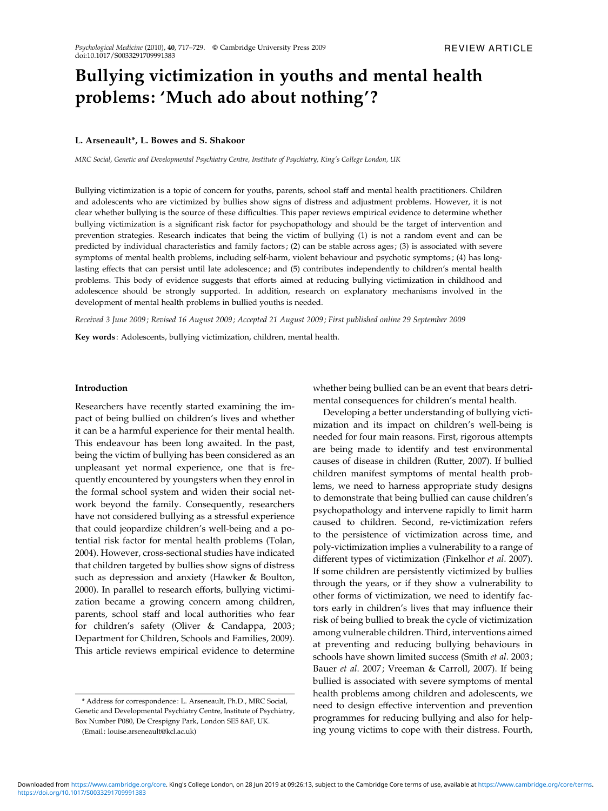# Bullying victimization in youths and mental health problems: 'Much ado about nothing'?

#### L. Arseneault\*, L. Bowes and S. Shakoor

MRC Social, Genetic and Developmental Psychiatry Centre, Institute of Psychiatry, King's College London, UK

Bullying victimization is a topic of concern for youths, parents, school staff and mental health practitioners. Children and adolescents who are victimized by bullies show signs of distress and adjustment problems. However, it is not clear whether bullying is the source of these difficulties. This paper reviews empirical evidence to determine whether bullying victimization is a significant risk factor for psychopathology and should be the target of intervention and prevention strategies. Research indicates that being the victim of bullying (1) is not a random event and can be predicted by individual characteristics and family factors ; (2) can be stable across ages ; (3) is associated with severe symptoms of mental health problems, including self-harm, violent behaviour and psychotic symptoms; (4) has longlasting effects that can persist until late adolescence ; and (5) contributes independently to children's mental health problems. This body of evidence suggests that efforts aimed at reducing bullying victimization in childhood and adolescence should be strongly supported. In addition, research on explanatory mechanisms involved in the development of mental health problems in bullied youths is needed.

Received 3 June 2009 ; Revised 16 August 2009 ; Accepted 21 August 2009 ; First published online 29 September 2009

Key words : Adolescents, bullying victimization, children, mental health.

#### Introduction

Researchers have recently started examining the impact of being bullied on children's lives and whether it can be a harmful experience for their mental health. This endeavour has been long awaited. In the past, being the victim of bullying has been considered as an unpleasant yet normal experience, one that is frequently encountered by youngsters when they enrol in the formal school system and widen their social network beyond the family. Consequently, researchers have not considered bullying as a stressful experience that could jeopardize children's well-being and a potential risk factor for mental health problems (Tolan, 2004). However, cross-sectional studies have indicated that children targeted by bullies show signs of distress such as depression and anxiety (Hawker & Boulton, 2000). In parallel to research efforts, bullying victimization became a growing concern among children, parents, school staff and local authorities who fear for children's safety (Oliver & Candappa, 2003; Department for Children, Schools and Families, 2009). This article reviews empirical evidence to determine

\* Address for correspondence : L. Arseneault, Ph.D., MRC Social, Genetic and Developmental Psychiatry Centre, Institute of Psychiatry, Box Number P080, De Crespigny Park, London SE5 8AF, UK.

whether being bullied can be an event that bears detrimental consequences for children's mental health.

Developing a better understanding of bullying victimization and its impact on children's well-being is needed for four main reasons. First, rigorous attempts are being made to identify and test environmental causes of disease in children (Rutter, 2007). If bullied children manifest symptoms of mental health problems, we need to harness appropriate study designs to demonstrate that being bullied can cause children's psychopathology and intervene rapidly to limit harm caused to children. Second, re-victimization refers to the persistence of victimization across time, and poly-victimization implies a vulnerability to a range of different types of victimization (Finkelhor et al. 2007). If some children are persistently victimized by bullies through the years, or if they show a vulnerability to other forms of victimization, we need to identify factors early in children's lives that may influence their risk of being bullied to break the cycle of victimization among vulnerable children. Third, interventions aimed at preventing and reducing bullying behaviours in schools have shown limited success (Smith et al. 2003; Bauer et al. 2007; Vreeman & Carroll, 2007). If being bullied is associated with severe symptoms of mental health problems among children and adolescents, we need to design effective intervention and prevention programmes for reducing bullying and also for helping young victims to cope with their distress. Fourth,

<sup>(</sup>Email : louise.arseneault@kcl.ac.uk)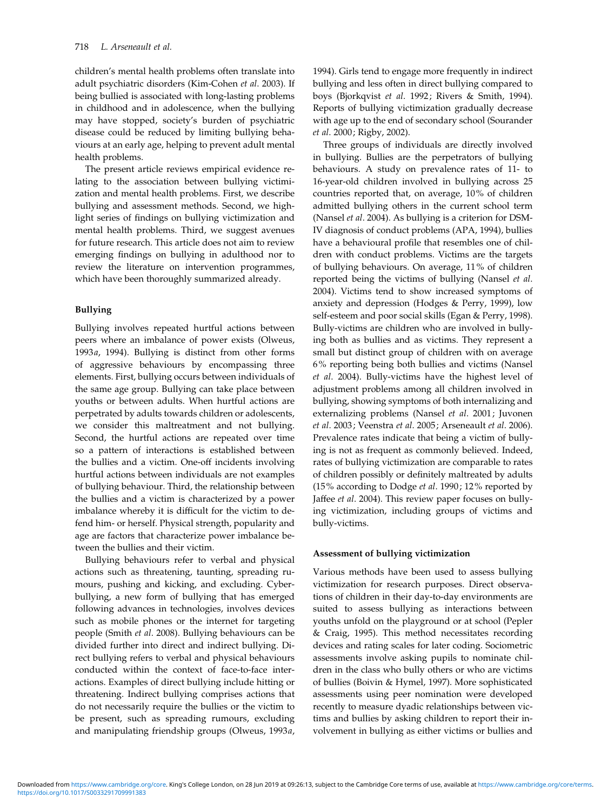children's mental health problems often translate into adult psychiatric disorders (Kim-Cohen et al. 2003). If being bullied is associated with long-lasting problems in childhood and in adolescence, when the bullying may have stopped, society's burden of psychiatric disease could be reduced by limiting bullying behaviours at an early age, helping to prevent adult mental health problems.

The present article reviews empirical evidence relating to the association between bullying victimization and mental health problems. First, we describe bullying and assessment methods. Second, we highlight series of findings on bullying victimization and mental health problems. Third, we suggest avenues for future research. This article does not aim to review emerging findings on bullying in adulthood nor to review the literature on intervention programmes, which have been thoroughly summarized already.

#### Bullying

Bullying involves repeated hurtful actions between peers where an imbalance of power exists (Olweus, 1993a, 1994). Bullying is distinct from other forms of aggressive behaviours by encompassing three elements. First, bullying occurs between individuals of the same age group. Bullying can take place between youths or between adults. When hurtful actions are perpetrated by adults towards children or adolescents, we consider this maltreatment and not bullying. Second, the hurtful actions are repeated over time so a pattern of interactions is established between the bullies and a victim. One-off incidents involving hurtful actions between individuals are not examples of bullying behaviour. Third, the relationship between the bullies and a victim is characterized by a power imbalance whereby it is difficult for the victim to defend him- or herself. Physical strength, popularity and age are factors that characterize power imbalance between the bullies and their victim.

Bullying behaviours refer to verbal and physical actions such as threatening, taunting, spreading rumours, pushing and kicking, and excluding. Cyberbullying, a new form of bullying that has emerged following advances in technologies, involves devices such as mobile phones or the internet for targeting people (Smith et al. 2008). Bullying behaviours can be divided further into direct and indirect bullying. Direct bullying refers to verbal and physical behaviours conducted within the context of face-to-face interactions. Examples of direct bullying include hitting or threatening. Indirect bullying comprises actions that do not necessarily require the bullies or the victim to be present, such as spreading rumours, excluding and manipulating friendship groups (Olweus, 1993a,

1994). Girls tend to engage more frequently in indirect bullying and less often in direct bullying compared to boys (Bjorkqvist et al. 1992; Rivers & Smith, 1994). Reports of bullying victimization gradually decrease with age up to the end of secondary school (Sourander et al. 2000; Rigby, 2002).

Three groups of individuals are directly involved in bullying. Bullies are the perpetrators of bullying behaviours. A study on prevalence rates of 11- to 16-year-old children involved in bullying across 25 countries reported that, on average, 10% of children admitted bullying others in the current school term (Nansel et al. 2004). As bullying is a criterion for DSM-IV diagnosis of conduct problems (APA, 1994), bullies have a behavioural profile that resembles one of children with conduct problems. Victims are the targets of bullying behaviours. On average, 11% of children reported being the victims of bullying (Nansel et al. 2004). Victims tend to show increased symptoms of anxiety and depression (Hodges & Perry, 1999), low self-esteem and poor social skills (Egan & Perry, 1998). Bully-victims are children who are involved in bullying both as bullies and as victims. They represent a small but distinct group of children with on average 6% reporting being both bullies and victims (Nansel et al. 2004). Bully-victims have the highest level of adjustment problems among all children involved in bullying, showing symptoms of both internalizing and externalizing problems (Nansel et al. 2001; Juvonen et al. 2003; Veenstra et al. 2005; Arseneault et al. 2006). Prevalence rates indicate that being a victim of bullying is not as frequent as commonly believed. Indeed, rates of bullying victimization are comparable to rates of children possibly or definitely maltreated by adults (15% according to Dodge et al. 1990; 12% reported by Jaffee et al. 2004). This review paper focuses on bullying victimization, including groups of victims and bully-victims.

#### Assessment of bullying victimization

Various methods have been used to assess bullying victimization for research purposes. Direct observations of children in their day-to-day environments are suited to assess bullying as interactions between youths unfold on the playground or at school (Pepler & Craig, 1995). This method necessitates recording devices and rating scales for later coding. Sociometric assessments involve asking pupils to nominate children in the class who bully others or who are victims of bullies (Boivin & Hymel, 1997). More sophisticated assessments using peer nomination were developed recently to measure dyadic relationships between victims and bullies by asking children to report their involvement in bullying as either victims or bullies and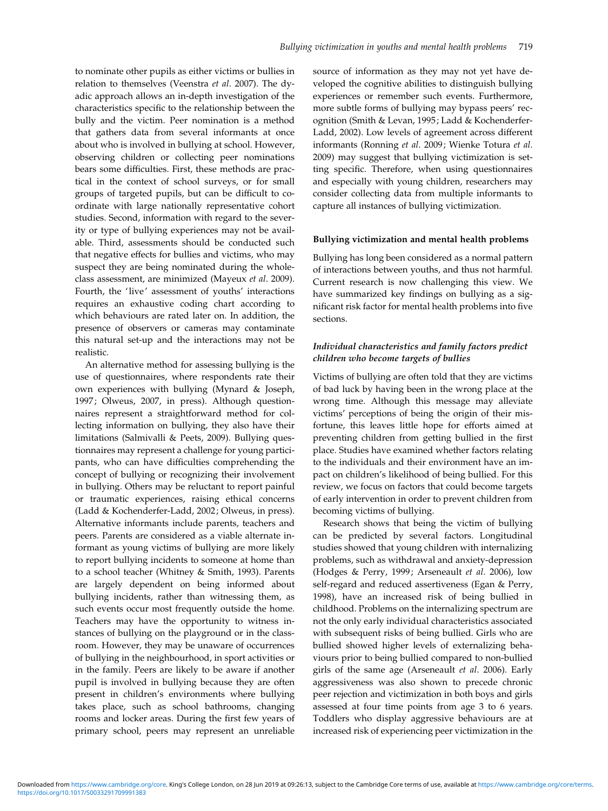to nominate other pupils as either victims or bullies in relation to themselves (Veenstra et al. 2007). The dyadic approach allows an in-depth investigation of the characteristics specific to the relationship between the bully and the victim. Peer nomination is a method that gathers data from several informants at once about who is involved in bullying at school. However, observing children or collecting peer nominations bears some difficulties. First, these methods are practical in the context of school surveys, or for small groups of targeted pupils, but can be difficult to coordinate with large nationally representative cohort studies. Second, information with regard to the severity or type of bullying experiences may not be available. Third, assessments should be conducted such that negative effects for bullies and victims, who may suspect they are being nominated during the wholeclass assessment, are minimized (Mayeux et al. 2009). Fourth, the 'live' assessment of youths' interactions requires an exhaustive coding chart according to which behaviours are rated later on. In addition, the presence of observers or cameras may contaminate this natural set-up and the interactions may not be realistic.

An alternative method for assessing bullying is the use of questionnaires, where respondents rate their own experiences with bullying (Mynard & Joseph, 1997; Olweus, 2007, in press). Although questionnaires represent a straightforward method for collecting information on bullying, they also have their limitations (Salmivalli & Peets, 2009). Bullying questionnaires may represent a challenge for young participants, who can have difficulties comprehending the concept of bullying or recognizing their involvement in bullying. Others may be reluctant to report painful or traumatic experiences, raising ethical concerns (Ladd & Kochenderfer-Ladd, 2002; Olweus, in press). Alternative informants include parents, teachers and peers. Parents are considered as a viable alternate informant as young victims of bullying are more likely to report bullying incidents to someone at home than to a school teacher (Whitney & Smith, 1993). Parents are largely dependent on being informed about bullying incidents, rather than witnessing them, as such events occur most frequently outside the home. Teachers may have the opportunity to witness instances of bullying on the playground or in the classroom. However, they may be unaware of occurrences of bullying in the neighbourhood, in sport activities or in the family. Peers are likely to be aware if another pupil is involved in bullying because they are often present in children's environments where bullying takes place, such as school bathrooms, changing rooms and locker areas. During the first few years of primary school, peers may represent an unreliable source of information as they may not yet have developed the cognitive abilities to distinguish bullying experiences or remember such events. Furthermore, more subtle forms of bullying may bypass peers' recognition (Smith & Levan, 1995; Ladd & Kochenderfer-Ladd, 2002). Low levels of agreement across different informants (Ronning et al. 2009; Wienke Totura et al. 2009) may suggest that bullying victimization is setting specific. Therefore, when using questionnaires and especially with young children, researchers may consider collecting data from multiple informants to capture all instances of bullying victimization.

#### Bullying victimization and mental health problems

Bullying has long been considered as a normal pattern of interactions between youths, and thus not harmful. Current research is now challenging this view. We have summarized key findings on bullying as a significant risk factor for mental health problems into five sections.

# Individual characteristics and family factors predict children who become targets of bullies

Victims of bullying are often told that they are victims of bad luck by having been in the wrong place at the wrong time. Although this message may alleviate victims' perceptions of being the origin of their misfortune, this leaves little hope for efforts aimed at preventing children from getting bullied in the first place. Studies have examined whether factors relating to the individuals and their environment have an impact on children's likelihood of being bullied. For this review, we focus on factors that could become targets of early intervention in order to prevent children from becoming victims of bullying.

Research shows that being the victim of bullying can be predicted by several factors. Longitudinal studies showed that young children with internalizing problems, such as withdrawal and anxiety-depression (Hodges & Perry, 1999; Arseneault et al. 2006), low self-regard and reduced assertiveness (Egan & Perry, 1998), have an increased risk of being bullied in childhood. Problems on the internalizing spectrum are not the only early individual characteristics associated with subsequent risks of being bullied. Girls who are bullied showed higher levels of externalizing behaviours prior to being bullied compared to non-bullied girls of the same age (Arseneault et al. 2006). Early aggressiveness was also shown to precede chronic peer rejection and victimization in both boys and girls assessed at four time points from age 3 to 6 years. Toddlers who display aggressive behaviours are at increased risk of experiencing peer victimization in the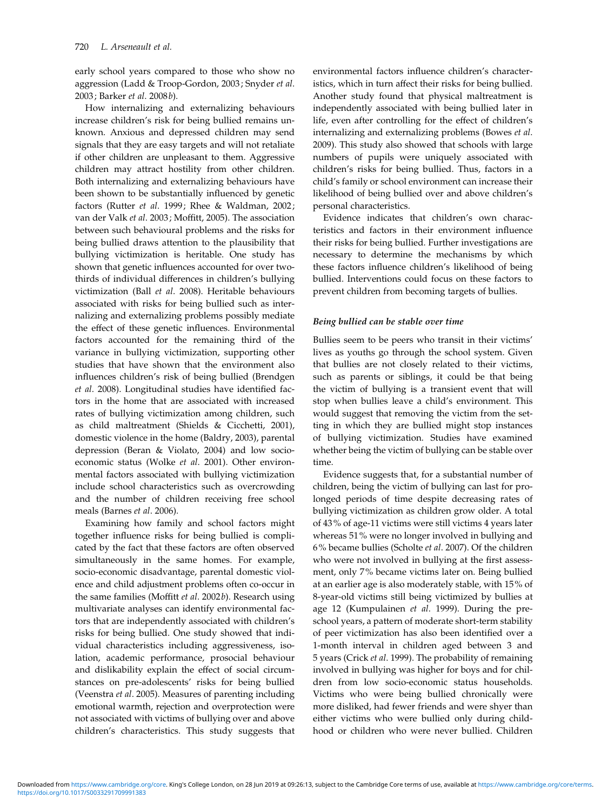early school years compared to those who show no aggression (Ladd & Troop-Gordon, 2003; Snyder et al. 2003; Barker et al. 2008b).

How internalizing and externalizing behaviours increase children's risk for being bullied remains unknown. Anxious and depressed children may send signals that they are easy targets and will not retaliate if other children are unpleasant to them. Aggressive children may attract hostility from other children. Both internalizing and externalizing behaviours have been shown to be substantially influenced by genetic factors (Rutter et al. 1999; Rhee & Waldman, 2002; van der Valk et al. 2003; Moffitt, 2005). The association between such behavioural problems and the risks for being bullied draws attention to the plausibility that bullying victimization is heritable. One study has shown that genetic influences accounted for over twothirds of individual differences in children's bullying victimization (Ball et al. 2008). Heritable behaviours associated with risks for being bullied such as internalizing and externalizing problems possibly mediate the effect of these genetic influences. Environmental factors accounted for the remaining third of the variance in bullying victimization, supporting other studies that have shown that the environment also influences children's risk of being bullied (Brendgen et al. 2008). Longitudinal studies have identified factors in the home that are associated with increased rates of bullying victimization among children, such as child maltreatment (Shields & Cicchetti, 2001), domestic violence in the home (Baldry, 2003), parental depression (Beran & Violato, 2004) and low socioeconomic status (Wolke et al. 2001). Other environmental factors associated with bullying victimization include school characteristics such as overcrowding and the number of children receiving free school meals (Barnes et al. 2006).

Examining how family and school factors might together influence risks for being bullied is complicated by the fact that these factors are often observed simultaneously in the same homes. For example, socio-economic disadvantage, parental domestic violence and child adjustment problems often co-occur in the same families (Moffitt et al. 2002b). Research using multivariate analyses can identify environmental factors that are independently associated with children's risks for being bullied. One study showed that individual characteristics including aggressiveness, isolation, academic performance, prosocial behaviour and dislikability explain the effect of social circumstances on pre-adolescents' risks for being bullied (Veenstra et al. 2005). Measures of parenting including emotional warmth, rejection and overprotection were not associated with victims of bullying over and above children's characteristics. This study suggests that

environmental factors influence children's characteristics, which in turn affect their risks for being bullied. Another study found that physical maltreatment is independently associated with being bullied later in life, even after controlling for the effect of children's internalizing and externalizing problems (Bowes et al. 2009). This study also showed that schools with large numbers of pupils were uniquely associated with children's risks for being bullied. Thus, factors in a child's family or school environment can increase their likelihood of being bullied over and above children's personal characteristics.

Evidence indicates that children's own characteristics and factors in their environment influence their risks for being bullied. Further investigations are necessary to determine the mechanisms by which these factors influence children's likelihood of being bullied. Interventions could focus on these factors to prevent children from becoming targets of bullies.

#### Being bullied can be stable over time

Bullies seem to be peers who transit in their victims' lives as youths go through the school system. Given that bullies are not closely related to their victims, such as parents or siblings, it could be that being the victim of bullying is a transient event that will stop when bullies leave a child's environment. This would suggest that removing the victim from the setting in which they are bullied might stop instances of bullying victimization. Studies have examined whether being the victim of bullying can be stable over time.

Evidence suggests that, for a substantial number of children, being the victim of bullying can last for prolonged periods of time despite decreasing rates of bullying victimization as children grow older. A total of 43% of age-11 victims were still victims 4 years later whereas 51% were no longer involved in bullying and 6% became bullies (Scholte et al. 2007). Of the children who were not involved in bullying at the first assessment, only 7% became victims later on. Being bullied at an earlier age is also moderately stable, with 15% of 8-year-old victims still being victimized by bullies at age 12 (Kumpulainen et al. 1999). During the preschool years, a pattern of moderate short-term stability of peer victimization has also been identified over a 1-month interval in children aged between 3 and 5 years (Crick et al. 1999). The probability of remaining involved in bullying was higher for boys and for children from low socio-economic status households. Victims who were being bullied chronically were more disliked, had fewer friends and were shyer than either victims who were bullied only during childhood or children who were never bullied. Children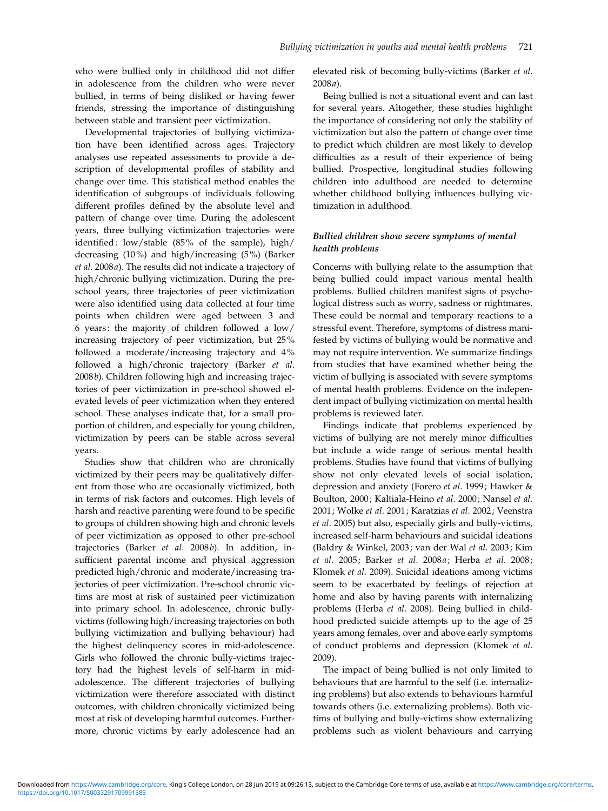who were bullied only in childhood did not differ in adolescence from the children who were never bullied, in terms of being disliked or having fewer friends, stressing the importance of distinguishing between stable and transient peer victimization.

Developmental trajectories of bullying victimization have been identified across ages. Trajectory analyses use repeated assessments to provide a description of developmental profiles of stability and change over time. This statistical method enables the identification of subgroups of individuals following different profiles defined by the absolute level and pattern of change over time. During the adolescent years, three bullying victimization trajectories were identified: low/stable (85% of the sample), high/ decreasing (10%) and high/increasing (5%) (Barker et al. 2008a). The results did not indicate a trajectory of high/chronic bullying victimization. During the preschool years, three trajectories of peer victimization were also identified using data collected at four time points when children were aged between 3 and 6 years: the majority of children followed a low/ increasing trajectory of peer victimization, but 25% followed a moderate/increasing trajectory and 4% followed a high/chronic trajectory (Barker et al. 2008b). Children following high and increasing trajectories of peer victimization in pre-school showed elevated levels of peer victimization when they entered school. These analyses indicate that, for a small proportion of children, and especially for young children, victimization by peers can be stable across several years.

Studies show that children who are chronically victimized by their peers may be qualitatively different from those who are occasionally victimized, both in terms of risk factors and outcomes. High levels of harsh and reactive parenting were found to be specific to groups of children showing high and chronic levels of peer victimization as opposed to other pre-school trajectories (Barker et al. 2008b). In addition, insufficient parental income and physical aggression predicted high/chronic and moderate/increasing trajectories of peer victimization. Pre-school chronic victims are most at risk of sustained peer victimization into primary school. In adolescence, chronic bullyvictims (following high/increasing trajectories on both bullying victimization and bullying behaviour) had the highest delinquency scores in mid-adolescence. Girls who followed the chronic bully-victims trajectory had the highest levels of self-harm in midadolescence. The different trajectories of bullying victimization were therefore associated with distinct outcomes, with children chronically victimized being most at risk of developing harmful outcomes. Furthermore, chronic victims by early adolescence had an elevated risk of becoming bully-victims (Barker et al. 2008a).

Being bullied is not a situational event and can last for several years. Altogether, these studies highlight the importance of considering not only the stability of victimization but also the pattern of change over time to predict which children are most likely to develop difficulties as a result of their experience of being bullied. Prospective, longitudinal studies following children into adulthood are needed to determine whether childhood bullying influences bullying victimization in adulthood.

## Bullied children show severe symptoms of mental health problems

Concerns with bullying relate to the assumption that being bullied could impact various mental health problems. Bullied children manifest signs of psychological distress such as worry, sadness or nightmares. These could be normal and temporary reactions to a stressful event. Therefore, symptoms of distress manifested by victims of bullying would be normative and may not require intervention. We summarize findings from studies that have examined whether being the victim of bullying is associated with severe symptoms of mental health problems. Evidence on the independent impact of bullying victimization on mental health problems is reviewed later.

Findings indicate that problems experienced by victims of bullying are not merely minor difficulties but include a wide range of serious mental health problems. Studies have found that victims of bullying show not only elevated levels of social isolation, depression and anxiety (Forero et al. 1999; Hawker & Boulton, 2000; Kaltiala-Heino et al. 2000; Nansel et al. 2001; Wolke et al. 2001; Karatzias et al. 2002; Veenstra et al. 2005) but also, especially girls and bully-victims, increased self-harm behaviours and suicidal ideations (Baldry & Winkel, 2003; van der Wal et al. 2003; Kim et al. 2005; Barker et al. 2008a; Herba et al. 2008; Klomek et al. 2009). Suicidal ideations among victims seem to be exacerbated by feelings of rejection at home and also by having parents with internalizing problems (Herba et al. 2008). Being bullied in childhood predicted suicide attempts up to the age of 25 years among females, over and above early symptoms of conduct problems and depression (Klomek et al. 2009).

The impact of being bullied is not only limited to behaviours that are harmful to the self (i.e. internalizing problems) but also extends to behaviours harmful towards others (i.e. externalizing problems). Both victims of bullying and bully-victims show externalizing problems such as violent behaviours and carrying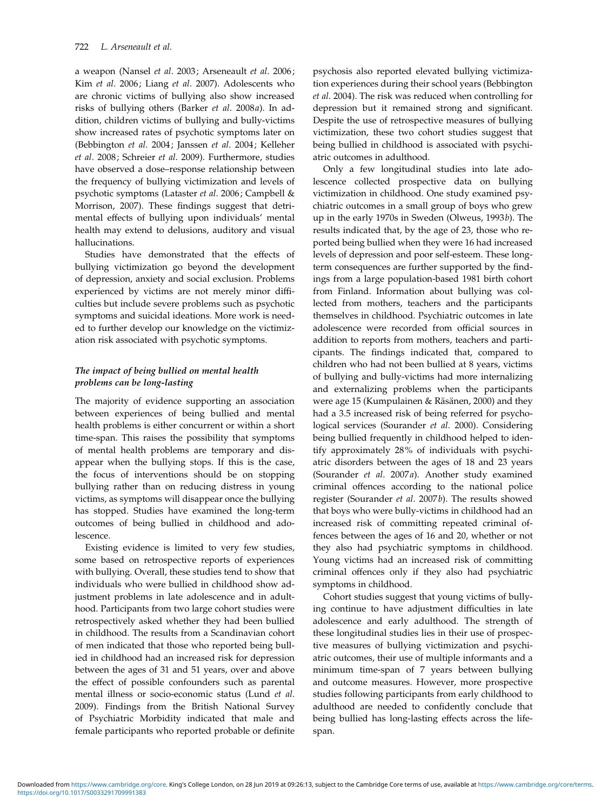a weapon (Nansel et al. 2003; Arseneault et al. 2006; Kim et al. 2006; Liang et al. 2007). Adolescents who are chronic victims of bullying also show increased risks of bullying others (Barker et al. 2008a). In addition, children victims of bullying and bully-victims show increased rates of psychotic symptoms later on (Bebbington et al. 2004; Janssen et al. 2004; Kelleher et al. 2008; Schreier et al. 2009). Furthermore, studies have observed a dose–response relationship between the frequency of bullying victimization and levels of psychotic symptoms (Lataster et al. 2006; Campbell & Morrison, 2007). These findings suggest that detrimental effects of bullying upon individuals' mental health may extend to delusions, auditory and visual hallucinations.

Studies have demonstrated that the effects of bullying victimization go beyond the development of depression, anxiety and social exclusion. Problems experienced by victims are not merely minor difficulties but include severe problems such as psychotic symptoms and suicidal ideations. More work is needed to further develop our knowledge on the victimization risk associated with psychotic symptoms.

# The impact of being bullied on mental health problems can be long-lasting

The majority of evidence supporting an association between experiences of being bullied and mental health problems is either concurrent or within a short time-span. This raises the possibility that symptoms of mental health problems are temporary and disappear when the bullying stops. If this is the case, the focus of interventions should be on stopping bullying rather than on reducing distress in young victims, as symptoms will disappear once the bullying has stopped. Studies have examined the long-term outcomes of being bullied in childhood and adolescence.

Existing evidence is limited to very few studies, some based on retrospective reports of experiences with bullying. Overall, these studies tend to show that individuals who were bullied in childhood show adjustment problems in late adolescence and in adulthood. Participants from two large cohort studies were retrospectively asked whether they had been bullied in childhood. The results from a Scandinavian cohort of men indicated that those who reported being bullied in childhood had an increased risk for depression between the ages of 31 and 51 years, over and above the effect of possible confounders such as parental mental illness or socio-economic status (Lund et al. 2009). Findings from the British National Survey of Psychiatric Morbidity indicated that male and female participants who reported probable or definite

psychosis also reported elevated bullying victimization experiences during their school years (Bebbington et al. 2004). The risk was reduced when controlling for depression but it remained strong and significant. Despite the use of retrospective measures of bullying victimization, these two cohort studies suggest that being bullied in childhood is associated with psychiatric outcomes in adulthood.

Only a few longitudinal studies into late adolescence collected prospective data on bullying victimization in childhood. One study examined psychiatric outcomes in a small group of boys who grew up in the early 1970s in Sweden (Olweus, 1993b). The results indicated that, by the age of 23, those who reported being bullied when they were 16 had increased levels of depression and poor self-esteem. These longterm consequences are further supported by the findings from a large population-based 1981 birth cohort from Finland. Information about bullying was collected from mothers, teachers and the participants themselves in childhood. Psychiatric outcomes in late adolescence were recorded from official sources in addition to reports from mothers, teachers and participants. The findings indicated that, compared to children who had not been bullied at 8 years, victims of bullying and bully-victims had more internalizing and externalizing problems when the participants were age 15 (Kumpulainen & Räsänen, 2000) and they had a 3.5 increased risk of being referred for psychological services (Sourander et al. 2000). Considering being bullied frequently in childhood helped to identify approximately 28% of individuals with psychiatric disorders between the ages of 18 and 23 years (Sourander et al. 2007a). Another study examined criminal offences according to the national police register (Sourander et al. 2007b). The results showed that boys who were bully-victims in childhood had an increased risk of committing repeated criminal offences between the ages of 16 and 20, whether or not they also had psychiatric symptoms in childhood. Young victims had an increased risk of committing criminal offences only if they also had psychiatric symptoms in childhood.

Cohort studies suggest that young victims of bullying continue to have adjustment difficulties in late adolescence and early adulthood. The strength of these longitudinal studies lies in their use of prospective measures of bullying victimization and psychiatric outcomes, their use of multiple informants and a minimum time-span of 7 years between bullying and outcome measures. However, more prospective studies following participants from early childhood to adulthood are needed to confidently conclude that being bullied has long-lasting effects across the lifespan.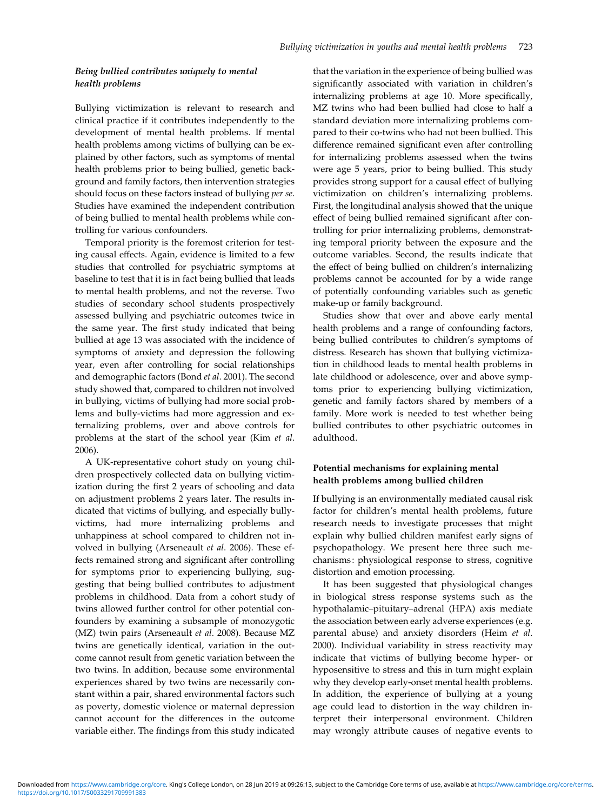# Being bullied contributes uniquely to mental health problems

Bullying victimization is relevant to research and clinical practice if it contributes independently to the development of mental health problems. If mental health problems among victims of bullying can be explained by other factors, such as symptoms of mental health problems prior to being bullied, genetic background and family factors, then intervention strategies should focus on these factors instead of bullying *per se*. Studies have examined the independent contribution of being bullied to mental health problems while controlling for various confounders.

Temporal priority is the foremost criterion for testing causal effects. Again, evidence is limited to a few studies that controlled for psychiatric symptoms at baseline to test that it is in fact being bullied that leads to mental health problems, and not the reverse. Two studies of secondary school students prospectively assessed bullying and psychiatric outcomes twice in the same year. The first study indicated that being bullied at age 13 was associated with the incidence of symptoms of anxiety and depression the following year, even after controlling for social relationships and demographic factors (Bond et al. 2001). The second study showed that, compared to children not involved in bullying, victims of bullying had more social problems and bully-victims had more aggression and externalizing problems, over and above controls for problems at the start of the school year (Kim et al. 2006).

A UK-representative cohort study on young children prospectively collected data on bullying victimization during the first 2 years of schooling and data on adjustment problems 2 years later. The results indicated that victims of bullying, and especially bullyvictims, had more internalizing problems and unhappiness at school compared to children not involved in bullying (Arseneault et al. 2006). These effects remained strong and significant after controlling for symptoms prior to experiencing bullying, suggesting that being bullied contributes to adjustment problems in childhood. Data from a cohort study of twins allowed further control for other potential confounders by examining a subsample of monozygotic (MZ) twin pairs (Arseneault et al. 2008). Because MZ twins are genetically identical, variation in the outcome cannot result from genetic variation between the two twins. In addition, because some environmental experiences shared by two twins are necessarily constant within a pair, shared environmental factors such as poverty, domestic violence or maternal depression cannot account for the differences in the outcome variable either. The findings from this study indicated

that the variation in the experience of being bullied was significantly associated with variation in children's internalizing problems at age 10. More specifically, MZ twins who had been bullied had close to half a standard deviation more internalizing problems compared to their co-twins who had not been bullied. This difference remained significant even after controlling for internalizing problems assessed when the twins were age 5 years, prior to being bullied. This study provides strong support for a causal effect of bullying victimization on children's internalizing problems. First, the longitudinal analysis showed that the unique effect of being bullied remained significant after controlling for prior internalizing problems, demonstrating temporal priority between the exposure and the outcome variables. Second, the results indicate that the effect of being bullied on children's internalizing problems cannot be accounted for by a wide range of potentially confounding variables such as genetic make-up or family background.

Studies show that over and above early mental health problems and a range of confounding factors, being bullied contributes to children's symptoms of distress. Research has shown that bullying victimization in childhood leads to mental health problems in late childhood or adolescence, over and above symptoms prior to experiencing bullying victimization, genetic and family factors shared by members of a family. More work is needed to test whether being bullied contributes to other psychiatric outcomes in adulthood.

## Potential mechanisms for explaining mental health problems among bullied children

If bullying is an environmentally mediated causal risk factor for children's mental health problems, future research needs to investigate processes that might explain why bullied children manifest early signs of psychopathology. We present here three such mechanisms: physiological response to stress, cognitive distortion and emotion processing.

It has been suggested that physiological changes in biological stress response systems such as the hypothalamic–pituitary–adrenal (HPA) axis mediate the association between early adverse experiences (e.g. parental abuse) and anxiety disorders (Heim et al. 2000). Individual variability in stress reactivity may indicate that victims of bullying become hyper- or hyposensitive to stress and this in turn might explain why they develop early-onset mental health problems. In addition, the experience of bullying at a young age could lead to distortion in the way children interpret their interpersonal environment. Children may wrongly attribute causes of negative events to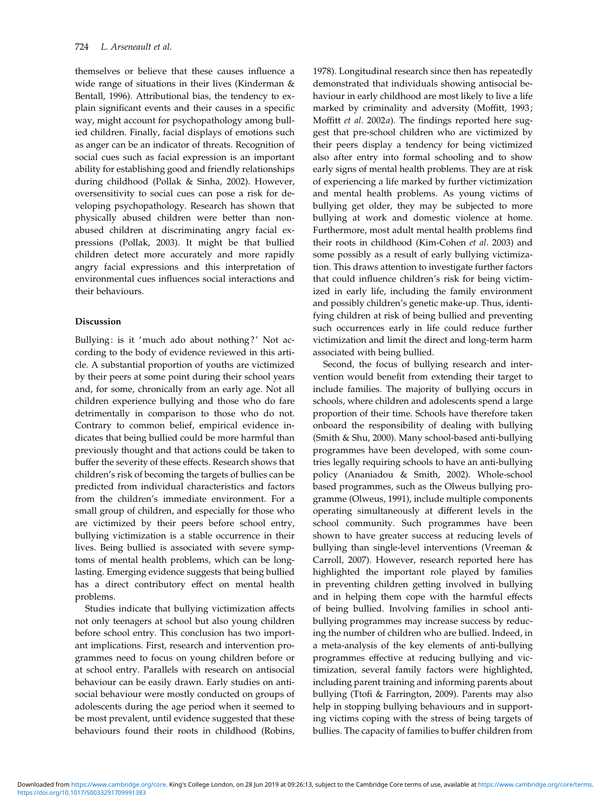themselves or believe that these causes influence a wide range of situations in their lives (Kinderman & Bentall, 1996). Attributional bias, the tendency to explain significant events and their causes in a specific way, might account for psychopathology among bullied children. Finally, facial displays of emotions such as anger can be an indicator of threats. Recognition of social cues such as facial expression is an important ability for establishing good and friendly relationships during childhood (Pollak & Sinha, 2002). However, oversensitivity to social cues can pose a risk for developing psychopathology. Research has shown that physically abused children were better than nonabused children at discriminating angry facial expressions (Pollak, 2003). It might be that bullied children detect more accurately and more rapidly angry facial expressions and this interpretation of environmental cues influences social interactions and their behaviours.

## Discussion

Bullying: is it 'much ado about nothing ?' Not according to the body of evidence reviewed in this article. A substantial proportion of youths are victimized by their peers at some point during their school years and, for some, chronically from an early age. Not all children experience bullying and those who do fare detrimentally in comparison to those who do not. Contrary to common belief, empirical evidence indicates that being bullied could be more harmful than previously thought and that actions could be taken to buffer the severity of these effects. Research shows that children's risk of becoming the targets of bullies can be predicted from individual characteristics and factors from the children's immediate environment. For a small group of children, and especially for those who are victimized by their peers before school entry, bullying victimization is a stable occurrence in their lives. Being bullied is associated with severe symptoms of mental health problems, which can be longlasting. Emerging evidence suggests that being bullied has a direct contributory effect on mental health problems.

Studies indicate that bullying victimization affects not only teenagers at school but also young children before school entry. This conclusion has two important implications. First, research and intervention programmes need to focus on young children before or at school entry. Parallels with research on antisocial behaviour can be easily drawn. Early studies on antisocial behaviour were mostly conducted on groups of adolescents during the age period when it seemed to be most prevalent, until evidence suggested that these behaviours found their roots in childhood (Robins,

1978). Longitudinal research since then has repeatedly demonstrated that individuals showing antisocial behaviour in early childhood are most likely to live a life marked by criminality and adversity (Moffitt, 1993; Moffitt et al. 2002a). The findings reported here suggest that pre-school children who are victimized by their peers display a tendency for being victimized also after entry into formal schooling and to show early signs of mental health problems. They are at risk of experiencing a life marked by further victimization and mental health problems. As young victims of bullying get older, they may be subjected to more bullying at work and domestic violence at home. Furthermore, most adult mental health problems find their roots in childhood (Kim-Cohen et al. 2003) and some possibly as a result of early bullying victimization. This draws attention to investigate further factors that could influence children's risk for being victimized in early life, including the family environment and possibly children's genetic make-up. Thus, identifying children at risk of being bullied and preventing such occurrences early in life could reduce further victimization and limit the direct and long-term harm associated with being bullied.

Second, the focus of bullying research and intervention would benefit from extending their target to include families. The majority of bullying occurs in schools, where children and adolescents spend a large proportion of their time. Schools have therefore taken onboard the responsibility of dealing with bullying (Smith & Shu, 2000). Many school-based anti-bullying programmes have been developed, with some countries legally requiring schools to have an anti-bullying policy (Ananiadou & Smith, 2002). Whole-school based programmes, such as the Olweus bullying programme (Olweus, 1991), include multiple components operating simultaneously at different levels in the school community. Such programmes have been shown to have greater success at reducing levels of bullying than single-level interventions (Vreeman & Carroll, 2007). However, research reported here has highlighted the important role played by families in preventing children getting involved in bullying and in helping them cope with the harmful effects of being bullied. Involving families in school antibullying programmes may increase success by reducing the number of children who are bullied. Indeed, in a meta-analysis of the key elements of anti-bullying programmes effective at reducing bullying and victimization, several family factors were highlighted, including parent training and informing parents about bullying (Ttofi & Farrington, 2009). Parents may also help in stopping bullying behaviours and in supporting victims coping with the stress of being targets of bullies. The capacity of families to buffer children from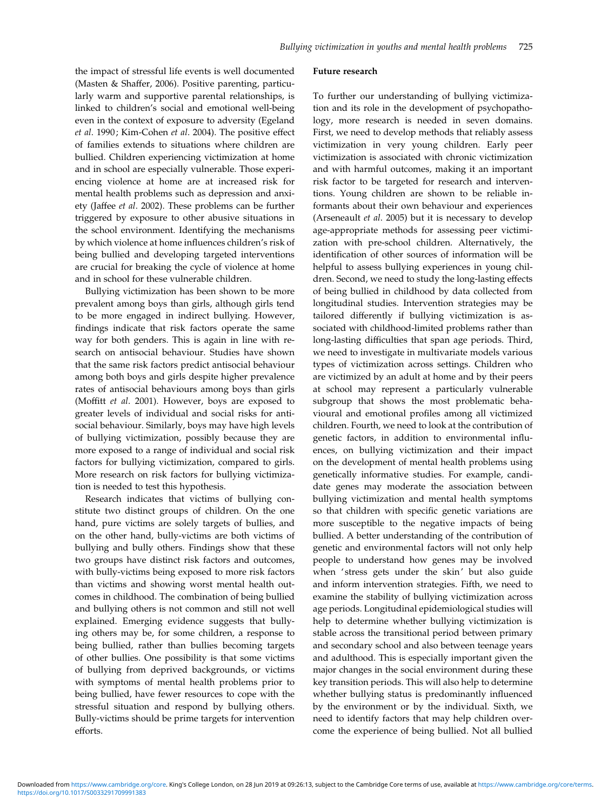the impact of stressful life events is well documented (Masten & Shaffer, 2006). Positive parenting, particularly warm and supportive parental relationships, is linked to children's social and emotional well-being even in the context of exposure to adversity (Egeland et al. 1990; Kim-Cohen et al. 2004). The positive effect of families extends to situations where children are bullied. Children experiencing victimization at home and in school are especially vulnerable. Those experiencing violence at home are at increased risk for mental health problems such as depression and anxiety (Jaffee et al. 2002). These problems can be further triggered by exposure to other abusive situations in the school environment. Identifying the mechanisms by which violence at home influences children's risk of being bullied and developing targeted interventions are crucial for breaking the cycle of violence at home and in school for these vulnerable children.

Bullying victimization has been shown to be more prevalent among boys than girls, although girls tend to be more engaged in indirect bullying. However, findings indicate that risk factors operate the same way for both genders. This is again in line with research on antisocial behaviour. Studies have shown that the same risk factors predict antisocial behaviour among both boys and girls despite higher prevalence rates of antisocial behaviours among boys than girls (Moffitt et al. 2001). However, boys are exposed to greater levels of individual and social risks for antisocial behaviour. Similarly, boys may have high levels of bullying victimization, possibly because they are more exposed to a range of individual and social risk factors for bullying victimization, compared to girls. More research on risk factors for bullying victimization is needed to test this hypothesis.

Research indicates that victims of bullying constitute two distinct groups of children. On the one hand, pure victims are solely targets of bullies, and on the other hand, bully-victims are both victims of bullying and bully others. Findings show that these two groups have distinct risk factors and outcomes, with bully-victims being exposed to more risk factors than victims and showing worst mental health outcomes in childhood. The combination of being bullied and bullying others is not common and still not well explained. Emerging evidence suggests that bullying others may be, for some children, a response to being bullied, rather than bullies becoming targets of other bullies. One possibility is that some victims of bullying from deprived backgrounds, or victims with symptoms of mental health problems prior to being bullied, have fewer resources to cope with the stressful situation and respond by bullying others. Bully-victims should be prime targets for intervention efforts.

#### Future research

To further our understanding of bullying victimization and its role in the development of psychopathology, more research is needed in seven domains. First, we need to develop methods that reliably assess victimization in very young children. Early peer victimization is associated with chronic victimization and with harmful outcomes, making it an important risk factor to be targeted for research and interventions. Young children are shown to be reliable informants about their own behaviour and experiences (Arseneault et al. 2005) but it is necessary to develop age-appropriate methods for assessing peer victimization with pre-school children. Alternatively, the identification of other sources of information will be helpful to assess bullying experiences in young children. Second, we need to study the long-lasting effects of being bullied in childhood by data collected from longitudinal studies. Intervention strategies may be tailored differently if bullying victimization is associated with childhood-limited problems rather than long-lasting difficulties that span age periods. Third, we need to investigate in multivariate models various types of victimization across settings. Children who are victimized by an adult at home and by their peers at school may represent a particularly vulnerable subgroup that shows the most problematic behavioural and emotional profiles among all victimized children. Fourth, we need to look at the contribution of genetic factors, in addition to environmental influences, on bullying victimization and their impact on the development of mental health problems using genetically informative studies. For example, candidate genes may moderate the association between bullying victimization and mental health symptoms so that children with specific genetic variations are more susceptible to the negative impacts of being bullied. A better understanding of the contribution of genetic and environmental factors will not only help people to understand how genes may be involved when 'stress gets under the skin' but also guide and inform intervention strategies. Fifth, we need to examine the stability of bullying victimization across age periods. Longitudinal epidemiological studies will help to determine whether bullying victimization is stable across the transitional period between primary and secondary school and also between teenage years and adulthood. This is especially important given the major changes in the social environment during these key transition periods. This will also help to determine whether bullying status is predominantly influenced by the environment or by the individual. Sixth, we need to identify factors that may help children overcome the experience of being bullied. Not all bullied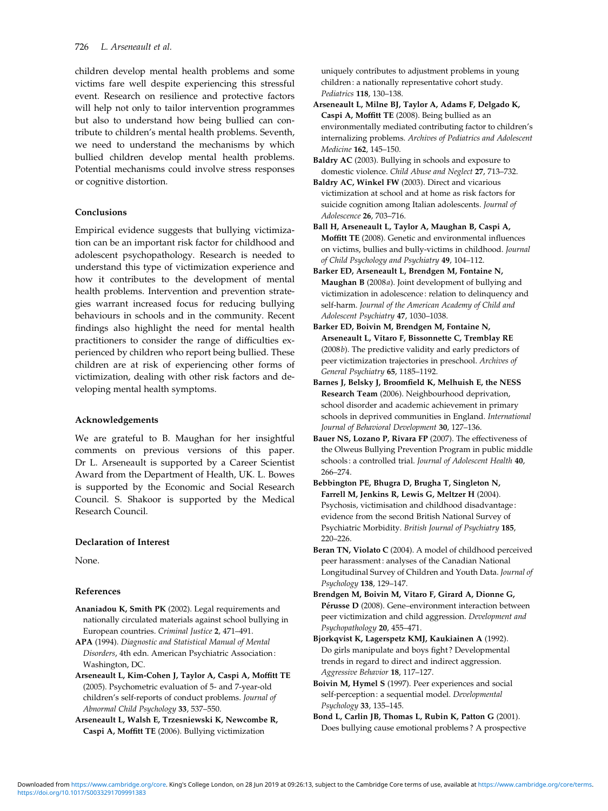children develop mental health problems and some victims fare well despite experiencing this stressful event. Research on resilience and protective factors will help not only to tailor intervention programmes but also to understand how being bullied can contribute to children's mental health problems. Seventh, we need to understand the mechanisms by which bullied children develop mental health problems. Potential mechanisms could involve stress responses or cognitive distortion.

# Conclusions

Empirical evidence suggests that bullying victimization can be an important risk factor for childhood and adolescent psychopathology. Research is needed to understand this type of victimization experience and how it contributes to the development of mental health problems. Intervention and prevention strategies warrant increased focus for reducing bullying behaviours in schools and in the community. Recent findings also highlight the need for mental health practitioners to consider the range of difficulties experienced by children who report being bullied. These children are at risk of experiencing other forms of victimization, dealing with other risk factors and developing mental health symptoms.

## Acknowledgements

We are grateful to B. Maughan for her insightful comments on previous versions of this paper. Dr L. Arseneault is supported by a Career Scientist Award from the Department of Health, UK. L. Bowes is supported by the Economic and Social Research Council. S. Shakoor is supported by the Medical Research Council.

## Declaration of Interest

None.

## References

- Ananiadou K, Smith PK (2002). Legal requirements and nationally circulated materials against school bullying in European countries. Criminal Justice 2, 471–491.
- APA (1994). Diagnostic and Statistical Manual of Mental Disorders, 4th edn. American Psychiatric Association : Washington, DC.
- Arseneault L, Kim-Cohen J, Taylor A, Caspi A, Moffitt TE (2005). Psychometric evaluation of 5- and 7-year-old children's self-reports of conduct problems. Journal of Abnormal Child Psychology 33, 537–550.
- Arseneault L, Walsh E, Trzesniewski K, Newcombe R, Caspi A, Moffitt TE (2006). Bullying victimization

uniquely contributes to adjustment problems in young children : a nationally representative cohort study. Pediatrics 118, 130–138.

- Arseneault L, Milne BJ, Taylor A, Adams F, Delgado K, Caspi A, Moffitt TE (2008). Being bullied as an environmentally mediated contributing factor to children's internalizing problems. Archives of Pediatrics and Adolescent Medicine 162, 145–150.
- Baldry AC (2003). Bullying in schools and exposure to domestic violence. Child Abuse and Neglect 27, 713–732.
- Baldry AC, Winkel FW (2003). Direct and vicarious victimization at school and at home as risk factors for suicide cognition among Italian adolescents. Journal of Adolescence 26, 703–716.
- Ball H, Arseneault L, Taylor A, Maughan B, Caspi A, Moffitt TE (2008). Genetic and environmental influences on victims, bullies and bully-victims in childhood. Journal of Child Psychology and Psychiatry 49, 104–112.
- Barker ED, Arseneault L, Brendgen M, Fontaine N, Maughan B (2008a). Joint development of bullying and victimization in adolescence : relation to delinquency and self-harm. Journal of the American Academy of Child and Adolescent Psychiatry 47, 1030–1038.
- Barker ED, Boivin M, Brendgen M, Fontaine N, Arseneault L, Vitaro F, Bissonnette C, Tremblay RE  $(2008b)$ . The predictive validity and early predictors of peer victimization trajectories in preschool. Archives of General Psychiatry 65, 1185–1192.
- Barnes J, Belsky J, Broomfield K, Melhuish E, the NESS Research Team (2006). Neighbourhood deprivation, school disorder and academic achievement in primary schools in deprived communities in England. International Journal of Behavioral Development 30, 127–136.
- Bauer NS, Lozano P, Rivara FP (2007). The effectiveness of the Olweus Bullying Prevention Program in public middle schools : a controlled trial. Journal of Adolescent Health 40, 266–274.
- Bebbington PE, Bhugra D, Brugha T, Singleton N, Farrell M, Jenkins R, Lewis G, Meltzer H (2004). Psychosis, victimisation and childhood disadvantage : evidence from the second British National Survey of Psychiatric Morbidity. British Journal of Psychiatry 185, 220–226.
- Beran TN, Violato C (2004). A model of childhood perceived peer harassment: analyses of the Canadian National Longitudinal Survey of Children and Youth Data. Journal of Psychology 138, 129–147.
- Brendgen M, Boivin M, Vitaro F, Girard A, Dionne G, Pérusse D (2008). Gene–environment interaction between peer victimization and child aggression. Development and Psychopathology 20, 455–471.
- Bjorkqvist K, Lagerspetz KMJ, Kaukiainen A (1992). Do girls manipulate and boys fight ? Developmental trends in regard to direct and indirect aggression. Aggressive Behavior 18, 117–127.
- Boivin M, Hymel S (1997). Peer experiences and social self-perception: a sequential model. Developmental Psychology 33, 135–145.
- Bond L, Carlin JB, Thomas L, Rubin K, Patton G (2001). Does bullying cause emotional problems ? A prospective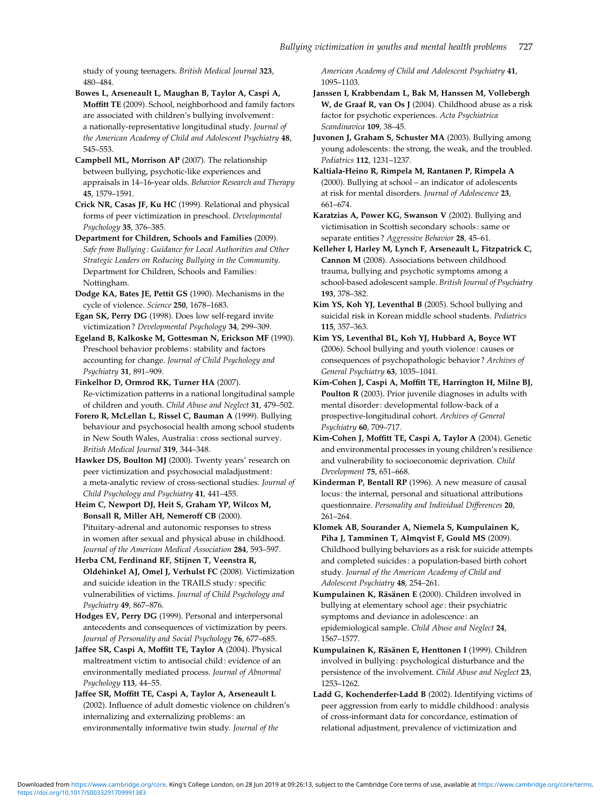study of young teenagers. British Medical Journal 323, 480–484.

Bowes L, Arseneault L, Maughan B, Taylor A, Caspi A, Moffitt TE (2009). School, neighborhood and family factors are associated with children's bullying involvement : a nationally-representative longitudinal study. Journal of the American Academy of Child and Adolescent Psychiatry 48, 545–553.

Campbell ML, Morrison AP (2007). The relationship between bullying, psychotic-like experiences and appraisals in 14–16-year olds. Behavior Research and Therapy 45, 1579–1591.

Crick NR, Casas JF, Ku HC (1999). Relational and physical forms of peer victimization in preschool. Developmental Psychology 35, 376–385.

Department for Children, Schools and Families (2009). Safe from Bullying : Guidance for Local Authorities and Other Strategic Leaders on Reducing Bullying in the Community. Department for Children, Schools and Families: Nottingham.

Dodge KA, Bates JE, Pettit GS (1990). Mechanisms in the cycle of violence. Science 250, 1678–1683.

Egan SK, Perry DG (1998). Does low self-regard invite victimization ? Developmental Psychology 34, 299–309.

Egeland B, Kalkoske M, Gottesman N, Erickson MF (1990). Preschool behavior problems : stability and factors accounting for change. Journal of Child Psychology and Psychiatry 31, 891–909.

Finkelhor D, Ormrod RK, Turner HA (2007). Re-victimization patterns in a national longitudinal sample of children and youth. Child Abuse and Neglect 31, 479–502.

Forero R, McLellan L, Rissel C, Bauman A (1999). Bullying behaviour and psychosocial health among school students in New South Wales, Australia : cross sectional survey. British Medical Journal 319, 344–348.

Hawker DS, Boulton MJ (2000). Twenty years' research on peer victimization and psychosocial maladjustment : a meta-analytic review of cross-sectional studies. Journal of Child Psychology and Psychiatry 41, 441–455.

Heim C, Newport DJ, Heit S, Graham YP, Wilcox M, Bonsall R, Miller AH, Nemeroff CB (2000). Pituitary-adrenal and autonomic responses to stress in women after sexual and physical abuse in childhood. Journal of the American Medical Association 284, 593–597.

Herba CM, Ferdinand RF, Stijnen T, Veenstra R, Oldehinkel AJ, Omel J, Verhulst FC (2008). Victimization and suicide ideation in the TRAILS study : specific vulnerabilities of victims. Journal of Child Psychology and Psychiatry 49, 867–876.

Hodges EV, Perry DG (1999). Personal and interpersonal antecedents and consequences of victimization by peers. Journal of Personality and Social Psychology 76, 677–685.

Jaffee SR, Caspi A, Moffitt TE, Taylor A (2004). Physical maltreatment victim to antisocial child : evidence of an environmentally mediated process. Journal of Abnormal Psychology 113, 44–55.

Jaffee SR, Moffitt TE, Caspi A, Taylor A, Arseneault L (2002). Influence of adult domestic violence on children's internalizing and externalizing problems : an environmentally informative twin study. Journal of the

American Academy of Child and Adolescent Psychiatry 41, 1095–1103.

Janssen I, Krabbendam L, Bak M, Hanssen M, Vollebergh W, de Graaf R, van Os J (2004). Childhood abuse as a risk factor for psychotic experiences. Acta Psychiatrica Scandinavica 109, 38–45.

Juvonen J, Graham S, Schuster MA (2003). Bullying among young adolescents : the strong, the weak, and the troubled. Pediatrics 112, 1231–1237.

Kaltiala-Heino R, Rimpela M, Rantanen P, Rimpela A (2000). Bullying at school – an indicator of adolescents at risk for mental disorders. Journal of Adolescence 23, 661–674.

Karatzias A, Power KG, Swanson V (2002). Bullying and victimisation in Scottish secondary schools : same or separate entities? Aggressive Behavior 28, 45-61.

Kelleher I, Harley M, Lynch F, Arseneault L, Fitzpatrick C, Cannon M (2008). Associations between childhood trauma, bullying and psychotic symptoms among a school-based adolescent sample. British Journal of Psychiatry 193, 378–382.

Kim YS, Koh YJ, Leventhal B (2005). School bullying and suicidal risk in Korean middle school students. Pediatrics 115, 357–363.

Kim YS, Leventhal BL, Koh YJ, Hubbard A, Boyce WT (2006). School bullying and youth violence : causes or consequences of psychopathologic behavior ? Archives of General Psychiatry 63, 1035–1041.

Kim-Cohen J, Caspi A, Moffitt TE, Harrington H, Milne BJ, Poulton R (2003). Prior juvenile diagnoses in adults with mental disorder : developmental follow-back of a prospective-longitudinal cohort. Archives of General Psychiatry 60, 709–717.

Kim-Cohen J, Moffitt TE, Caspi A, Taylor A (2004). Genetic and environmental processes in young children's resilience and vulnerability to socioeconomic deprivation. Child Development 75, 651–668.

Kinderman P, Bentall RP (1996). A new measure of causal locus: the internal, personal and situational attributions questionnaire. Personality and Individual Differences 20, 261–264.

Klomek AB, Sourander A, Niemela S, Kumpulainen K, Piha J, Tamminen T, Almqvist F, Gould MS (2009). Childhood bullying behaviors as a risk for suicide attempts and completed suicides : a population-based birth cohort study. Journal of the American Academy of Child and Adolescent Psychiatry 48, 254–261.

Kumpulainen K, Räsänen E (2000). Children involved in bullying at elementary school age: their psychiatric symptoms and deviance in adolescence : an epidemiological sample. Child Abuse and Neglect 24, 1567–1577.

Kumpulainen K, Räsänen E, Henttonen I (1999). Children involved in bullying: psychological disturbance and the persistence of the involvement. Child Abuse and Neglect 23, 1253–1262.

Ladd G, Kochenderfer-Ladd B (2002). Identifying victims of peer aggression from early to middle childhood : analysis of cross-informant data for concordance, estimation of relational adjustment, prevalence of victimization and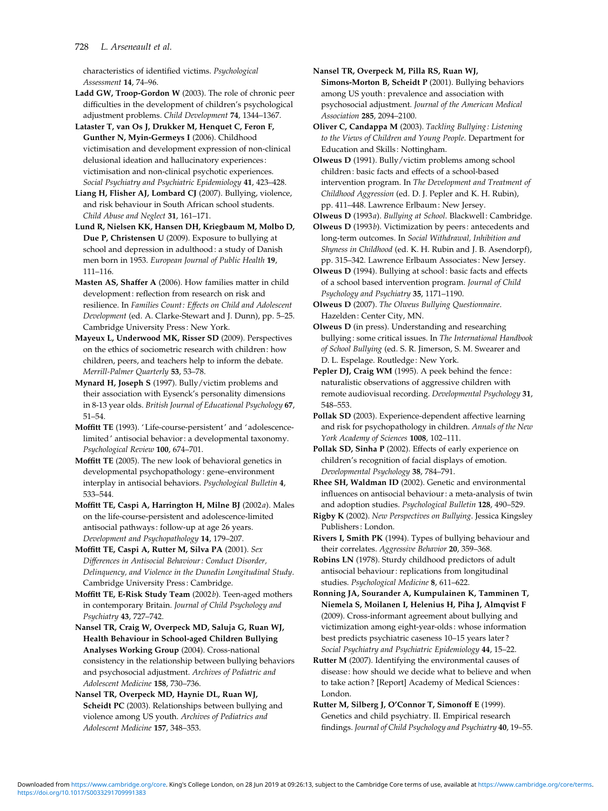characteristics of identified victims. Psychological Assessment 14, 74–96.

Ladd GW, Troop-Gordon W (2003). The role of chronic peer difficulties in the development of children's psychological adjustment problems. Child Development 74, 1344–1367.

Lataster T, van Os J, Drukker M, Henquet C, Feron F, Gunther N, Myin-Germeys I (2006). Childhood victimisation and development expression of non-clinical delusional ideation and hallucinatory experiences : victimisation and non-clinical psychotic experiences. Social Psychiatry and Psychiatric Epidemiology 41, 423–428.

Liang H, Flisher AJ, Lombard CJ (2007). Bullying, violence, and risk behaviour in South African school students. Child Abuse and Neglect 31, 161–171.

Lund R, Nielsen KK, Hansen DH, Kriegbaum M, Molbo D, Due P, Christensen U (2009). Exposure to bullying at school and depression in adulthood : a study of Danish men born in 1953. European Journal of Public Health 19, 111–116.

Masten AS, Shaffer A (2006). How families matter in child development : reflection from research on risk and resilience. In Families Count: Effects on Child and Adolescent Development (ed. A. Clarke-Stewart and J. Dunn), pp. 5–25. Cambridge University Press : New York.

Mayeux L, Underwood MK, Risser SD (2009). Perspectives on the ethics of sociometric research with children : how children, peers, and teachers help to inform the debate. Merrill-Palmer Quarterly 53, 53–78.

Mynard H, Joseph S (1997). Bully/victim problems and their association with Eysenck's personality dimensions in 8-13 year olds. British Journal of Educational Psychology 67, 51–54.

Moffitt TE (1993). ' Life-course-persistent' and ' adolescencelimited' antisocial behavior : a developmental taxonomy. Psychological Review 100, 674–701.

Moffitt TE (2005). The new look of behavioral genetics in developmental psychopathology : gene–environment interplay in antisocial behaviors. Psychological Bulletin 4, 533–544.

Moffitt TE, Caspi A, Harrington H, Milne BJ (2002a). Males on the life-course-persistent and adolescence-limited antisocial pathways : follow-up at age 26 years. Development and Psychopathology 14, 179–207.

Moffitt TE, Caspi A, Rutter M, Silva PA (2001). Sex Differences in Antisocial Behaviour : Conduct Disorder, Delinquency, and Violence in the Dunedin Longitudinal Study. Cambridge University Press : Cambridge.

Moffitt TE, E-Risk Study Team (2002b). Teen-aged mothers in contemporary Britain. Journal of Child Psychology and Psychiatry 43, 727–742.

Nansel TR, Craig W, Overpeck MD, Saluja G, Ruan WJ, Health Behaviour in School-aged Children Bullying Analyses Working Group (2004). Cross-national consistency in the relationship between bullying behaviors and psychosocial adjustment. Archives of Pediatric and Adolescent Medicine 158, 730–736.

Nansel TR, Overpeck MD, Haynie DL, Ruan WJ, Scheidt PC (2003). Relationships between bullying and violence among US youth. Archives of Pediatrics and Adolescent Medicine 157, 348–353.

Nansel TR, Overpeck M, Pilla RS, Ruan WJ, Simons-Morton B, Scheidt P (2001). Bullying behaviors among US youth : prevalence and association with psychosocial adjustment. Journal of the American Medical Association 285, 2094–2100.

Oliver C, Candappa M (2003). Tackling Bullying: Listening to the Views of Children and Young People. Department for Education and Skills: Nottingham.

Olweus D (1991). Bully/victim problems among school children : basic facts and effects of a school-based intervention program. In The Development and Treatment of Childhood Aggression (ed. D. J. Pepler and K. H. Rubin), pp. 411–448. Lawrence Erlbaum : New Jersey.

Olweus D (1993a). Bullying at School. Blackwell : Cambridge.

Olweus D (1993b). Victimization by peers : antecedents and long-term outcomes. In Social Withdrawal, Inhibition and Shyness in Childhood (ed. K. H. Rubin and J. B. Asendorpf), pp. 315–342. Lawrence Erlbaum Associates : New Jersey.

Olweus D (1994). Bullying at school : basic facts and effects of a school based intervention program. Journal of Child Psychology and Psychiatry 35, 1171–1190.

Olweus D (2007). The Olweus Bullying Questionnaire. Hazelden: Center City, MN.

Olweus D (in press). Understanding and researching bullying: some critical issues. In The International Handbook of School Bullying (ed. S. R. Jimerson, S. M. Swearer and D. L. Espelage. Routledge : New York.

Pepler DJ, Craig WM (1995). A peek behind the fence: naturalistic observations of aggressive children with remote audiovisual recording. Developmental Psychology 31, 548–553.

Pollak SD (2003). Experience-dependent affective learning and risk for psychopathology in children. Annals of the New York Academy of Sciences 1008, 102–111.

Pollak SD, Sinha P (2002). Effects of early experience on children's recognition of facial displays of emotion. Developmental Psychology 38, 784–791.

Rhee SH, Waldman ID (2002). Genetic and environmental influences on antisocial behaviour: a meta-analysis of twin and adoption studies. Psychological Bulletin 128, 490–529.

Rigby K (2002). New Perspectives on Bullying. Jessica Kingsley Publishers : London.

Rivers I, Smith PK (1994). Types of bullying behaviour and their correlates. Aggressive Behavior 20, 359–368.

Robins LN (1978). Sturdy childhood predictors of adult antisocial behaviour : replications from longitudinal studies. Psychological Medicine 8, 611–622.

Ronning JA, Sourander A, Kumpulainen K, Tamminen T, Niemela S, Moilanen I, Helenius H, Piha J, Almqvist F (2009). Cross-informant agreement about bullying and victimization among eight-year-olds : whose information best predicts psychiatric caseness 10–15 years later ? Social Psychiatry and Psychiatric Epidemiology 44, 15–22.

Rutter M (2007). Identifying the environmental causes of disease : how should we decide what to believe and when to take action ? [Report] Academy of Medical Sciences : London.

Rutter M, Silberg J, O'Connor T, Simonoff E (1999). Genetics and child psychiatry. II. Empirical research findings. Journal of Child Psychology and Psychiatry 40, 19–55.